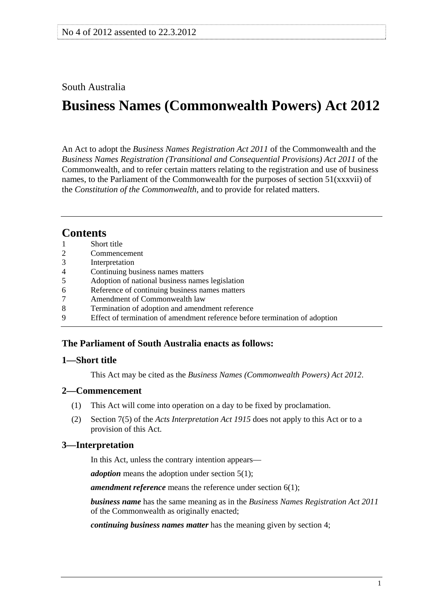## <span id="page-0-0"></span>South Australia

# **Business Names (Commonwealth Powers) Act 2012**

An Act to adopt the *Business Names Registration Act 2011* of the Commonwealth and the *Business Names Registration (Transitional and Consequential Provisions) Act 2011* of the Commonwealth, and to refer certain matters relating to the registration and use of business names, to the Parliament of the Commonwealth for the purposes of section 51(xxxvii) of the *Constitution of the Commonwealth*, and to provide for related matters.

## **Contents**

| 1               | Short title                                                                 |
|-----------------|-----------------------------------------------------------------------------|
| $\overline{2}$  | Commencement                                                                |
| 3               | Interpretation                                                              |
| $\overline{4}$  | Continuing business names matters                                           |
| $5\overline{)}$ | Adoption of national business names legislation                             |
| 6               | Reference of continuing business names matters                              |
| $\tau$          | Amendment of Commonwealth law                                               |
| 8               | Termination of adoption and amendment reference                             |
| 9               | Effect of termination of amendment reference before termination of adoption |
|                 |                                                                             |

## **The Parliament of South Australia enacts as follows:**

## **1—Short title**

This Act may be cited as the *Business Names (Commonwealth Powers) Act 2012*.

## **2—Commencement**

- (1) This Act will come into operation on a day to be fixed by proclamation.
- (2) Section 7(5) of the *[Acts Interpretation Act 1915](http://www.legislation.sa.gov.au/index.aspx?action=legref&type=act&legtitle=Acts%20Interpretation%20Act%201915)* does not apply to this Act or to a provision of this Act.

## **3—Interpretation**

In this Act, unless the contrary intention appears—

*adoption* means the adoption under [section 5\(1\)](#page-2-0);

*amendment reference* means the reference under [section 6\(1\)](#page-3-0);

*business name* has the same meaning as in the *Business Names Registration Act 2011* of the Commonwealth as originally enacted;

*continuing business names matter* has the meaning given by [section 4](#page-2-0);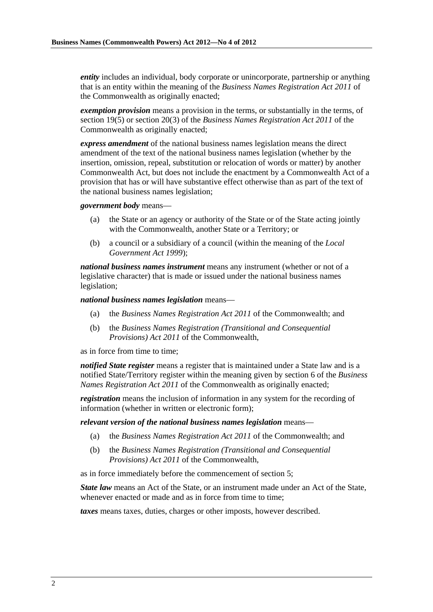*entity* includes an individual, body corporate or unincorporate, partnership or anything that is an entity within the meaning of the *Business Names Registration Act 2011* of the Commonwealth as originally enacted;

*exemption provision* means a provision in the terms, or substantially in the terms, of section 19(5) or section 20(3) of the *Business Names Registration Act 2011* of the Commonwealth as originally enacted;

*express amendment* of the national business names legislation means the direct amendment of the text of the national business names legislation (whether by the insertion, omission, repeal, substitution or relocation of words or matter) by another Commonwealth Act, but does not include the enactment by a Commonwealth Act of a provision that has or will have substantive effect otherwise than as part of the text of the national business names legislation;

*government body* means—

- (a) the State or an agency or authority of the State or of the State acting jointly with the Commonwealth, another State or a Territory; or
- (b) a council or a subsidiary of a council (within the meaning of the *[Local](http://www.legislation.sa.gov.au/index.aspx?action=legref&type=act&legtitle=Local%20Government%20Act%201999)  [Government Act 1999](http://www.legislation.sa.gov.au/index.aspx?action=legref&type=act&legtitle=Local%20Government%20Act%201999)*);

*national business names instrument* means any instrument (whether or not of a legislative character) that is made or issued under the national business names legislation;

*national business names legislation* means—

- (a) the *Business Names Registration Act 2011* of the Commonwealth; and
- (b) the *Business Names Registration (Transitional and Consequential Provisions) Act 2011* of the Commonwealth,

as in force from time to time;

*notified State register* means a register that is maintained under a State law and is a notified State/Territory register within the meaning given by section 6 of the *Business Names Registration Act 2011* of the Commonwealth as originally enacted;

*registration* means the inclusion of information in any system for the recording of information (whether in written or electronic form);

*relevant version of the national business names legislation* means—

- (a) the *Business Names Registration Act 2011* of the Commonwealth; and
- (b) the *Business Names Registration (Transitional and Consequential Provisions) Act 2011* of the Commonwealth,

as in force immediately before the commencement of [section 5](#page-2-0);

**State law** means an Act of the State, or an instrument made under an Act of the State, whenever enacted or made and as in force from time to time:

*taxes* means taxes, duties, charges or other imposts, however described.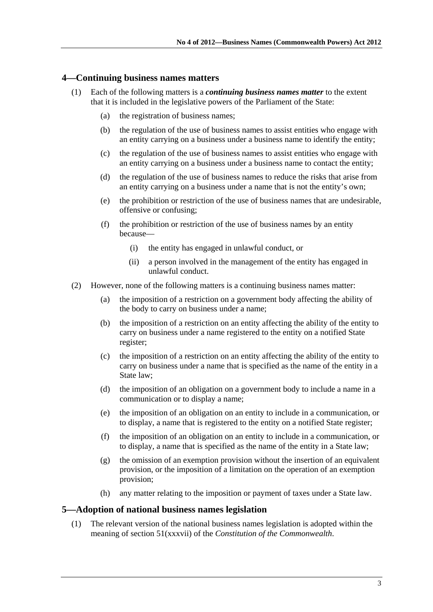#### <span id="page-2-0"></span>**4—Continuing business names matters**

- (1) Each of the following matters is a *continuing business names matter* to the extent that it is included in the legislative powers of the Parliament of the State:
	- (a) the registration of business names;
	- (b) the regulation of the use of business names to assist entities who engage with an entity carrying on a business under a business name to identify the entity;
	- (c) the regulation of the use of business names to assist entities who engage with an entity carrying on a business under a business name to contact the entity;
	- (d) the regulation of the use of business names to reduce the risks that arise from an entity carrying on a business under a name that is not the entity's own;
	- (e) the prohibition or restriction of the use of business names that are undesirable, offensive or confusing;
	- (f) the prohibition or restriction of the use of business names by an entity because—
		- (i) the entity has engaged in unlawful conduct, or
		- (ii) a person involved in the management of the entity has engaged in unlawful conduct.
- (2) However, none of the following matters is a continuing business names matter:
	- (a) the imposition of a restriction on a government body affecting the ability of the body to carry on business under a name;
	- (b) the imposition of a restriction on an entity affecting the ability of the entity to carry on business under a name registered to the entity on a notified State register;
	- (c) the imposition of a restriction on an entity affecting the ability of the entity to carry on business under a name that is specified as the name of the entity in a State law;
	- (d) the imposition of an obligation on a government body to include a name in a communication or to display a name;
	- (e) the imposition of an obligation on an entity to include in a communication, or to display, a name that is registered to the entity on a notified State register;
	- (f) the imposition of an obligation on an entity to include in a communication, or to display, a name that is specified as the name of the entity in a State law;
	- (g) the omission of an exemption provision without the insertion of an equivalent provision, or the imposition of a limitation on the operation of an exemption provision;
	- (h) any matter relating to the imposition or payment of taxes under a State law.

#### **5—Adoption of national business names legislation**

 (1) The relevant version of the national business names legislation is adopted within the meaning of section 51(xxxvii) of the *Constitution of the Commonwealth*.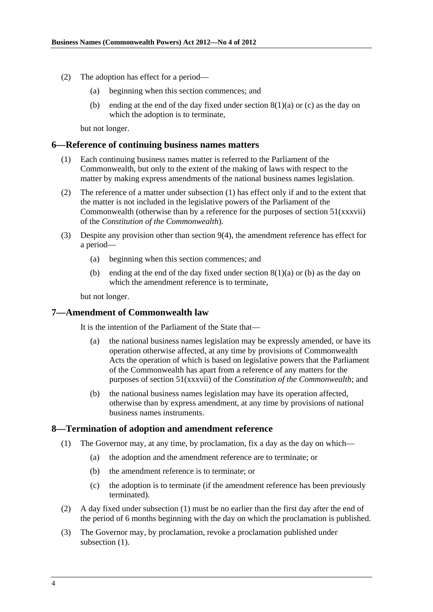- <span id="page-3-0"></span> (2) The adoption has effect for a period—
	- (a) beginning when this section commences; and
	- (b) ending at the end of the day fixed under section  $8(1)(a)$  or [\(c\)](#page-3-0) as the day on which the adoption is to terminate,

but not longer.

#### **6—Reference of continuing business names matters**

- (1) Each continuing business names matter is referred to the Parliament of the Commonwealth, but only to the extent of the making of laws with respect to the matter by making express amendments of the national business names legislation.
- (2) The reference of a matter under [subsection \(1\)](#page-3-0) has effect only if and to the extent that the matter is not included in the legislative powers of the Parliament of the Commonwealth (otherwise than by a reference for the purposes of section  $51(xxxvii)$ ) of the *Constitution of the Commonwealth*).
- (3) Despite any provision other than [section 9\(4\)](#page-4-0), the amendment reference has effect for a period—
	- (a) beginning when this section commences; and
	- (b) ending at the end of the day fixed under section  $8(1)(a)$  or [\(b\)](#page-3-0) as the day on which the amendment reference is to terminate,

but not longer.

#### **7—Amendment of Commonwealth law**

It is the intention of the Parliament of the State that—

- (a) the national business names legislation may be expressly amended, or have its operation otherwise affected, at any time by provisions of Commonwealth Acts the operation of which is based on legislative powers that the Parliament of the Commonwealth has apart from a reference of any matters for the purposes of section 51(xxxvii) of the *Constitution of the Commonwealth*; and
- (b) the national business names legislation may have its operation affected, otherwise than by express amendment, at any time by provisions of national business names instruments.

#### **8—Termination of adoption and amendment reference**

- (1) The Governor may, at any time, by proclamation, fix a day as the day on which—
	- (a) the adoption and the amendment reference are to terminate; or
	- (b) the amendment reference is to terminate; or
	- (c) the adoption is to terminate (if the amendment reference has been previously terminated).
- (2) A day fixed under [subsection \(1\)](#page-3-0) must be no earlier than the first day after the end of the period of 6 months beginning with the day on which the proclamation is published.
- (3) The Governor may, by proclamation, revoke a proclamation published under subsection  $(1)$ .